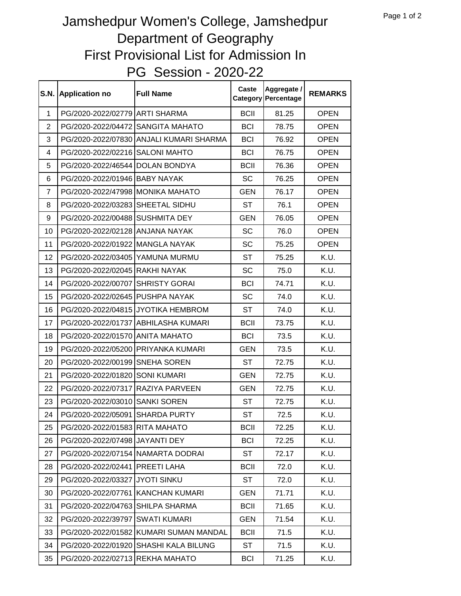## PG Session - 2020-22 Jamshedpur Women's College, Jamshedpur Department of Geography First Provisional List for Admission In

| <b>S.N.</b>    | <b>Application no</b>             | <b>Full Name</b>                       | Caste       | Aggregate /<br><b>Category Percentage</b> | <b>REMARKS</b> |
|----------------|-----------------------------------|----------------------------------------|-------------|-------------------------------------------|----------------|
| 1              | PG/2020-2022/02779 ARTI SHARMA    |                                        | <b>BCII</b> | 81.25                                     | <b>OPEN</b>    |
| $\overline{2}$ | PG/2020-2022/04472                | <b>SANGITA MAHATO</b>                  | <b>BCI</b>  | 78.75                                     | <b>OPEN</b>    |
| 3              | PG/2020-2022/07830                | ANJALI KUMARI SHARMA                   | <b>BCI</b>  | 76.92                                     | <b>OPEN</b>    |
| 4              | PG/2020-2022/02216                | <b>SALONI MAHTO</b>                    | <b>BCI</b>  | 76.75                                     | <b>OPEN</b>    |
| 5              | PG/2020-2022/46544                | <b>DOLAN BONDYA</b>                    | <b>BCII</b> | 76.36                                     | <b>OPEN</b>    |
| 6              | PG/2020-2022/01946 BABY NAYAK     |                                        | <b>SC</b>   | 76.25                                     | <b>OPEN</b>    |
| $\overline{7}$ | PG/2020-2022/47998 MONIKA MAHATO  |                                        | <b>GEN</b>  | 76.17                                     | <b>OPEN</b>    |
| 8              | PG/2020-2022/03283                | SHEETAL SIDHU                          | <b>ST</b>   | 76.1                                      | <b>OPEN</b>    |
| 9              | PG/2020-2022/00488                | <b>SUSHMITA DEY</b>                    | <b>GEN</b>  | 76.05                                     | <b>OPEN</b>    |
| 10             | PG/2020-2022/02128 ANJANA NAYAK   |                                        | <b>SC</b>   | 76.0                                      | <b>OPEN</b>    |
| 11             | PG/2020-2022/01922 MANGLA NAYAK   |                                        | <b>SC</b>   | 75.25                                     | <b>OPEN</b>    |
| 12             | PG/2020-2022/03405                | YAMUNA MURMU                           | <b>ST</b>   | 75.25                                     | K.U.           |
| 13             | PG/2020-2022/02045                | <b>RAKHI NAYAK</b>                     | <b>SC</b>   | 75.0                                      | K.U.           |
| 14             | PG/2020-2022/00707                | <b>SHRISTY GORAI</b>                   | <b>BCI</b>  | 74.71                                     | K.U.           |
| 15             | PG/2020-2022/02645                | PUSHPA NAYAK                           | <b>SC</b>   | 74.0                                      | K.U.           |
| 16             |                                   | PG/2020-2022/04815 JYOTIKA HEMBROM     | <b>ST</b>   | 74.0                                      | K.U.           |
| 17             | PG/2020-2022/01737                | ABHILASHA KUMARI                       | <b>BCII</b> | 73.75                                     | K.U.           |
| 18             | PG/2020-2022/01570 ANITA MAHATO   |                                        | <b>BCI</b>  | 73.5                                      | K.U.           |
| 19             | PG/2020-2022/05200                | PRIYANKA KUMARI                        | <b>GEN</b>  | 73.5                                      | K.U.           |
| 20             | PG/2020-2022/00199                | <b>SNEHA SOREN</b>                     | <b>ST</b>   | 72.75                                     | K.U.           |
| 21             | PG/2020-2022/01820                | <b>SONI KUMARI</b>                     | <b>GEN</b>  | 72.75                                     | K.U.           |
| 22             | PG/2020-2022/07317                | RAZIYA PARVEEN                         | <b>GEN</b>  | 72.75                                     | K.U.           |
| 23             | PG/2020-2022/03010                | <b>SANKI SOREN</b>                     | <b>ST</b>   | 72.75                                     | K.U.           |
| 24             | PG/2020-2022/05091                | <b>SHARDA PURTY</b>                    | <b>ST</b>   | 72.5                                      | K.U.           |
| 25             | PG/2020-2022/01583 RITA MAHATO    |                                        | <b>BCII</b> | 72.25                                     | K.U.           |
| 26             | PG/2020-2022/07498 JAYANTI DEY    |                                        | <b>BCI</b>  | 72.25                                     | K.U.           |
| 27             | PG/2020-2022/07154 NAMARTA DODRAI |                                        | <b>ST</b>   | 72.17                                     | K.U.           |
| 28             | PG/2020-2022/02441                | PREETI LAHA                            | <b>BCII</b> | 72.0                                      | K.U.           |
| 29             | PG/2020-2022/03327                | <b>JYOTI SINKU</b>                     | ST          | 72.0                                      | K.U.           |
| 30             | PG/2020-2022/07761                | <b>KANCHAN KUMARI</b>                  | <b>GEN</b>  | 71.71                                     | K.U.           |
| 31             | PG/2020-2022/04763                | <b>SHILPA SHARMA</b>                   | <b>BCII</b> | 71.65                                     | K.U.           |
| 32             | PG/2020-2022/39797                | <b>SWATI KUMARI</b>                    | <b>GEN</b>  | 71.54                                     | K.U.           |
| 33             |                                   | PG/2020-2022/01582 KUMARI SUMAN MANDAL | <b>BCII</b> | 71.5                                      | K.U.           |
| 34             | PG/2020-2022/01920                | SHASHI KALA BILUNG                     | ST          | 71.5                                      | K.U.           |
| 35             | PG/2020-2022/02713 REKHA MAHATO   |                                        | <b>BCI</b>  | 71.25                                     | K.U.           |